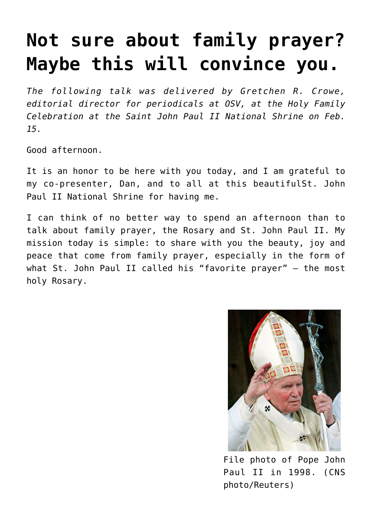## **[Not sure about family prayer?](https://www.osvnews.com/2020/02/17/not-sure-about-family-prayer-maybe-this-will-convince-you/) [Maybe this will convince you.](https://www.osvnews.com/2020/02/17/not-sure-about-family-prayer-maybe-this-will-convince-you/)**

*The following talk was delivered by Gretchen R. Crowe, editorial director for periodicals at OSV, at the Holy Family Celebration at the Saint John Paul II National Shrine on Feb. 15.*

Good afternoon.

It is an honor to be here with you today, and I am grateful to my co-presenter, Dan, and to all at this beautifulSt. John Paul II National Shrine for having me.

I can think of no better way to spend an afternoon than to talk about family prayer, the Rosary and St. John Paul II. My mission today is simple: to share with you the beauty, joy and peace that come from family prayer, especially in the form of what St. John Paul II called his "favorite prayer" — the most holy Rosary.



File photo of Pope John Paul II in 1998. (CNS photo/Reuters)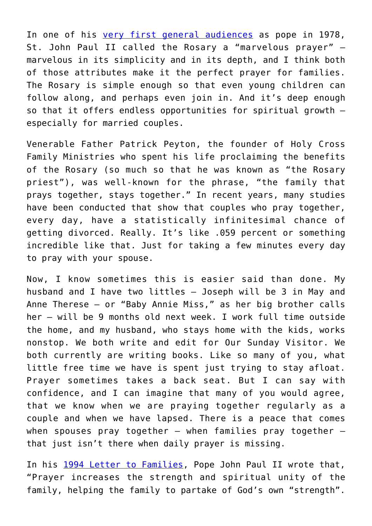In one of his [very first general audiences](https://w2.vatican.va/content/john-paul-ii/en/angelus/1978/documents/hf_jp-ii_ang_19781029.html) as pope in 1978, St. John Paul II called the Rosary a "marvelous prayer" marvelous in its simplicity and in its depth, and I think both of those attributes make it the perfect prayer for families. The Rosary is simple enough so that even young children can follow along, and perhaps even join in. And it's deep enough so that it offers endless opportunities for spiritual growth especially for married couples.

Venerable Father Patrick Peyton, the founder of Holy Cross Family Ministries who spent his life proclaiming the benefits of the Rosary (so much so that he was known as "the Rosary priest"), was well-known for the phrase, "the family that prays together, stays together." In recent years, many studies have been conducted that show that couples who pray together, every day, have a statistically infinitesimal chance of getting divorced. Really. It's like .059 percent or something incredible like that. Just for taking a few minutes every day to pray with your spouse.

Now, I know sometimes this is easier said than done. My husband and I have two littles — Joseph will be 3 in May and Anne Therese — or "Baby Annie Miss," as her big brother calls her — will be 9 months old next week. I work full time outside the home, and my husband, who stays home with the kids, works nonstop. We both write and edit for Our Sunday Visitor. We both currently are writing books. Like so many of you, what little free time we have is spent just trying to stay afloat. Prayer sometimes takes a back seat. But I can say with confidence, and I can imagine that many of you would agree, that we know when we are praying together regularly as a couple and when we have lapsed. There is a peace that comes when spouses pray together  $-$  when families pray together  $$ that just isn't there when daily prayer is missing.

In his [1994 Letter to Families](http://www.vatican.va/content/john-paul-ii/en/letters/1994/documents/hf_jp-ii_let_02021994_families.html), Pope John Paul II wrote that, "Prayer increases the strength and spiritual unity of the family, helping the family to partake of God's own "strength".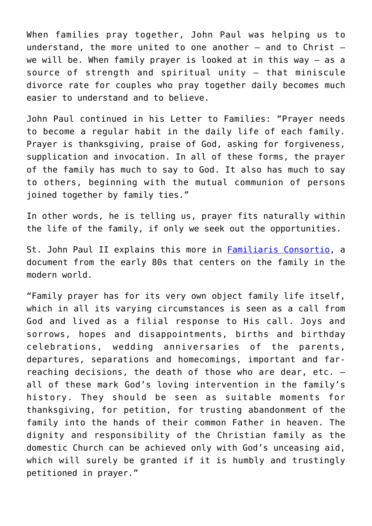When families pray together, John Paul was helping us to understand, the more united to one another — and to Christ we will be. When family prayer is looked at in this way — as a source of strength and spiritual unity — that miniscule divorce rate for couples who pray together daily becomes much easier to understand and to believe.

John Paul continued in his Letter to Families: "Prayer needs to become a regular habit in the daily life of each family. Prayer is thanksgiving, praise of God, asking for forgiveness, supplication and invocation. In all of these forms, the prayer of the family has much to say to God. It also has much to say to others, beginning with the mutual communion of persons joined together by family ties."

In other words, he is telling us, prayer fits naturally within the life of the family, if only we seek out the opportunities.

St. John Paul II explains this more in [Familiaris Consortio](http://www.vatican.va/content/john-paul-ii/en/apost_exhortations/documents/hf_jp-ii_exh_19811122_familiaris-consortio.html), a document from the early 80s that centers on the family in the modern world.

"Family prayer has for its very own object family life itself, which in all its varying circumstances is seen as a call from God and lived as a filial response to His call. Joys and sorrows, hopes and disappointments, births and birthday celebrations, wedding anniversaries of the parents, departures, separations and homecomings, important and farreaching decisions, the death of those who are dear, etc. all of these mark God's loving intervention in the family's history. They should be seen as suitable moments for thanksgiving, for petition, for trusting abandonment of the family into the hands of their common Father in heaven. The dignity and responsibility of the Christian family as the domestic Church can be achieved only with God's unceasing aid, which will surely be granted if it is humbly and trustingly petitioned in prayer."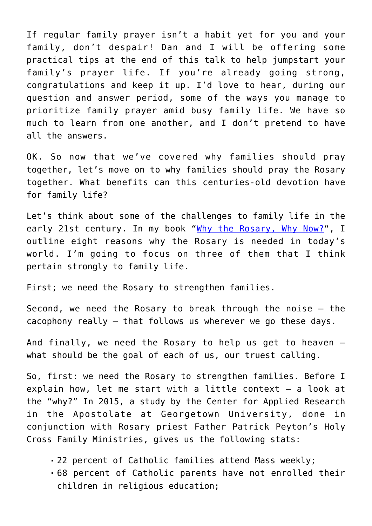If regular family prayer isn't a habit yet for you and your family, don't despair! Dan and I will be offering some practical tips at the end of this talk to help jumpstart your family's prayer life. If you're already going strong, congratulations and keep it up. I'd love to hear, during our question and answer period, some of the ways you manage to prioritize family prayer amid busy family life. We have so much to learn from one another, and I don't pretend to have all the answers.

OK. So now that we've covered why families should pray together, let's move on to why families should pray the Rosary together. What benefits can this centuries-old devotion have for family life?

Let's think about some of the challenges to family life in the early 21st century. In my book "[Why the Rosary, Why Now?"](https://osvcatholicbookstore.com/product/why-the-rosary-why-now), I outline eight reasons why the Rosary is needed in today's world. I'm going to focus on three of them that I think pertain strongly to family life.

First; we need the Rosary to strengthen families.

Second, we need the Rosary to break through the noise — the cacophony really — that follows us wherever we go these days.

And finally, we need the Rosary to help us get to heaven what should be the goal of each of us, our truest calling.

So, first: we need the Rosary to strengthen families. Before I explain how, let me start with a little context — a look at the "why?" In 2015, a study by the Center for Applied Research in the Apostolate at Georgetown University, done in conjunction with Rosary priest Father Patrick Peyton's Holy Cross Family Ministries, gives us the following stats:

- 22 percent of Catholic families attend Mass weekly;
- 68 percent of Catholic parents have not enrolled their children in religious education;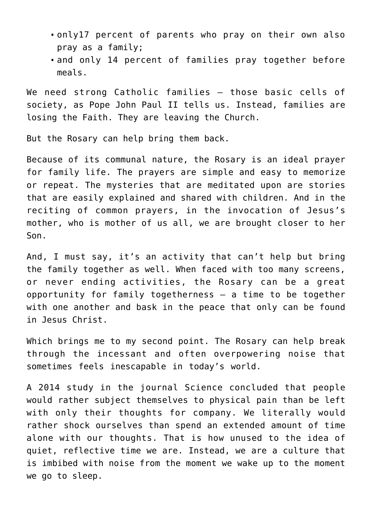- only17 percent of parents who pray on their own also pray as a family;
- and only 14 percent of families pray together before meals.

We need strong Catholic families — those basic cells of society, as Pope John Paul II tells us. Instead, families are losing the Faith. They are leaving the Church.

But the Rosary can help bring them back.

Because of its communal nature, the Rosary is an ideal prayer for family life. The prayers are simple and easy to memorize or repeat. The mysteries that are meditated upon are stories that are easily explained and shared with children. And in the reciting of common prayers, in the invocation of Jesus's mother, who is mother of us all, we are brought closer to her Son.

And, I must say, it's an activity that can't help but bring the family together as well. When faced with too many screens, or never ending activities, the Rosary can be a great opportunity for family togetherness — a time to be together with one another and bask in the peace that only can be found in Jesus Christ.

Which brings me to my second point. The Rosary can help break through the incessant and often overpowering noise that sometimes feels inescapable in today's world.

A 2014 study in the journal Science concluded that people would rather subject themselves to physical pain than be left with only their thoughts for company. We literally would rather shock ourselves than spend an extended amount of time alone with our thoughts. That is how unused to the idea of quiet, reflective time we are. Instead, we are a culture that is imbibed with noise from the moment we wake up to the moment we go to sleep.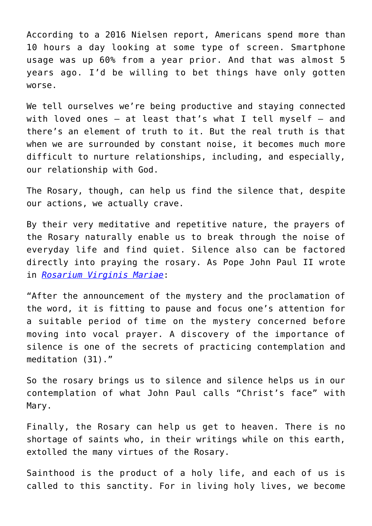According to a 2016 Nielsen report, Americans spend more than 10 hours a day looking at some type of screen. Smartphone usage was up 60% from a year prior. And that was almost 5 years ago. I'd be willing to bet things have only gotten worse.

We tell ourselves we're being productive and staving connected with loved ones  $-$  at least that's what I tell myself  $-$  and there's an element of truth to it. But the real truth is that when we are surrounded by constant noise, it becomes much more difficult to nurture relationships, including, and especially, our relationship with God.

The Rosary, though, can help us find the silence that, despite our actions, we actually crave.

By their very meditative and repetitive nature, the prayers of the Rosary naturally enable us to break through the noise of everyday life and find quiet. Silence also can be factored directly into praying the rosary. As Pope John Paul II wrote in *[Rosarium Virginis Mariae](http://www.vatican.va/content/john-paul-ii/en/apost_letters/2002/documents/hf_jp-ii_apl_20021016_rosarium-virginis-mariae.html)*:

"After the announcement of the mystery and the proclamation of the word, it is fitting to pause and focus one's attention for a suitable period of time on the mystery concerned before moving into vocal prayer. A discovery of the importance of silence is one of the secrets of practicing contemplation and meditation (31)."

So the rosary brings us to silence and silence helps us in our contemplation of what John Paul calls "Christ's face" with Mary.

Finally, the Rosary can help us get to heaven. There is no shortage of saints who, in their writings while on this earth, extolled the many virtues of the Rosary.

Sainthood is the product of a holy life, and each of us is called to this sanctity. For in living holy lives, we become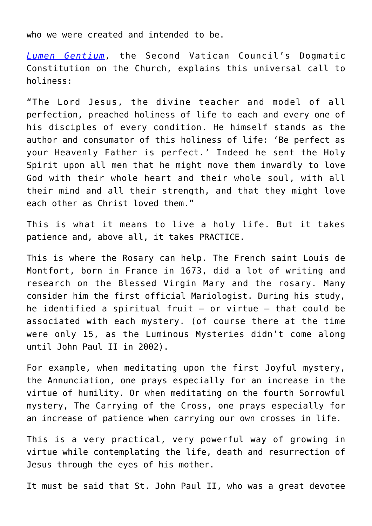who we were created and intended to be.

*[Lumen Gentium](https://www.vatican.va/archive/hist_councils/ii_vatican_council/documents/vat-ii_const_19641121_lumen-gentium_en.html)*, the Second Vatican Council's Dogmatic Constitution on the Church, explains this universal call to holiness:

"The Lord Jesus, the divine teacher and model of all perfection, preached holiness of life to each and every one of his disciples of every condition. He himself stands as the author and consumator of this holiness of life: 'Be perfect as your Heavenly Father is perfect.' Indeed he sent the Holy Spirit upon all men that he might move them inwardly to love God with their whole heart and their whole soul, with all their mind and all their strength, and that they might love each other as Christ loved them."

This is what it means to live a holy life. But it takes patience and, above all, it takes PRACTICE.

This is where the Rosary can help. The French saint Louis de Montfort, born in France in 1673, did a lot of writing and research on the Blessed Virgin Mary and the rosary. Many consider him the first official Mariologist. During his study, he identified a spiritual fruit  $-$  or virtue  $-$  that could be associated with each mystery. (of course there at the time were only 15, as the Luminous Mysteries didn't come along until John Paul II in 2002).

For example, when meditating upon the first Joyful mystery, the Annunciation, one prays especially for an increase in the virtue of humility. Or when meditating on the fourth Sorrowful mystery, The Carrying of the Cross, one prays especially for an increase of patience when carrying our own crosses in life.

This is a very practical, very powerful way of growing in virtue while contemplating the life, death and resurrection of Jesus through the eyes of his mother.

It must be said that St. John Paul II, who was a great devotee